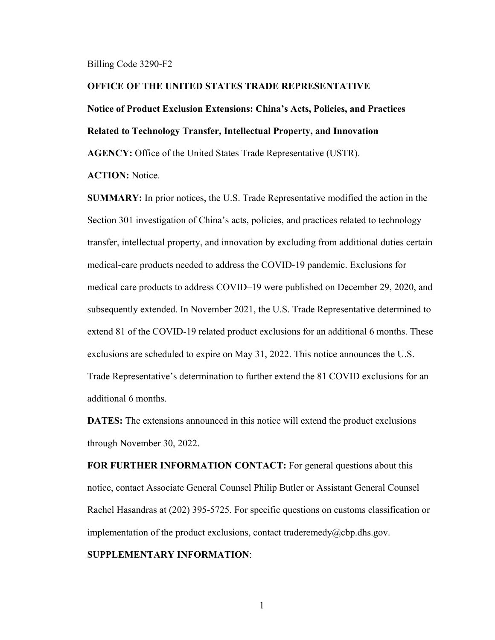#### Billing Code 3290-F2

### **OFFICE OF THE UNITED STATES TRADE REPRESENTATIVE**

# **Notice of Product Exclusion Extensions: China's Acts, Policies, and Practices**

**Related to Technology Transfer, Intellectual Property, and Innovation**

**AGENCY:** Office of the United States Trade Representative (USTR).

**ACTION:** Notice.

**SUMMARY:** In prior notices, the U.S. Trade Representative modified the action in the Section 301 investigation of China's acts, policies, and practices related to technology transfer, intellectual property, and innovation by excluding from additional duties certain medical-care products needed to address the COVID-19 pandemic. Exclusions for medical care products to address COVID–19 were published on December 29, 2020, and subsequently extended. In November 2021, the U.S. Trade Representative determined to extend 81 of the COVID-19 related product exclusions for an additional 6 months. These exclusions are scheduled to expire on May 31, 2022. This notice announces the U.S. Trade Representative's determination to further extend the 81 COVID exclusions for an additional 6 months.

**DATES:** The extensions announced in this notice will extend the product exclusions through November 30, 2022.

**FOR FURTHER INFORMATION CONTACT:** For general questions about this notice, contact Associate General Counsel Philip Butler or Assistant General Counsel Rachel Hasandras at (202) 395-5725. For specific questions on customs classification or implementation of the product exclusions, contact traderemedy@cbp.dhs.gov.

# **SUPPLEMENTARY INFORMATION**:

1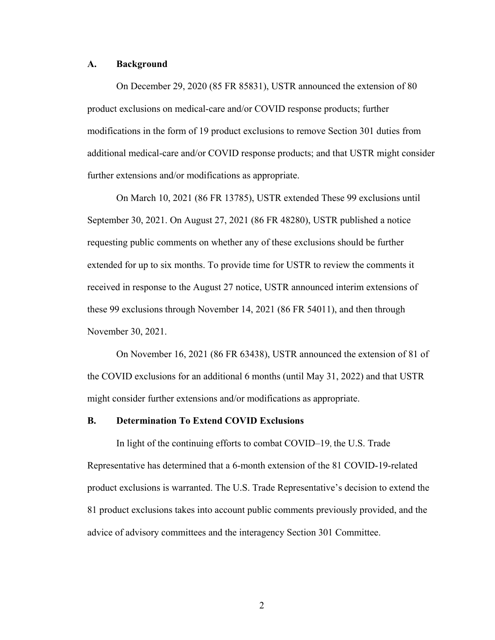#### **A. Background**

On December 29, 2020 (85 FR 85831), USTR announced the extension of 80 product exclusions on medical-care and/or COVID response products; further modifications in the form of 19 product exclusions to remove Section 301 duties from additional medical-care and/or COVID response products; and that USTR might consider further extensions and/or modifications as appropriate.

On March 10, 2021 (86 FR 13785), USTR extended These 99 exclusions until September 30, 2021. On August 27, 2021 (86 FR 48280), USTR published a notice requesting public comments on whether any of these exclusions should be further extended for up to six months. To provide time for USTR to review the comments it received in response to the August 27 notice, USTR announced interim extensions of these 99 exclusions through November 14, 2021 (86 FR 54011), and then through November 30, 2021.

On November 16, 2021 (86 FR 63438), USTR announced the extension of 81 of the COVID exclusions for an additional 6 months (until May 31, 2022) and that USTR might consider further extensions and/or modifications as appropriate.

## **B. Determination To Extend COVID Exclusions**

In light of the continuing efforts to combat COVID–19, the U.S. Trade Representative has determined that a 6-month extension of the 81 COVID-19-related product exclusions is warranted. The U.S. Trade Representative's decision to extend the 81 product exclusions takes into account public comments previously provided, and the advice of advisory committees and the interagency Section 301 Committee.